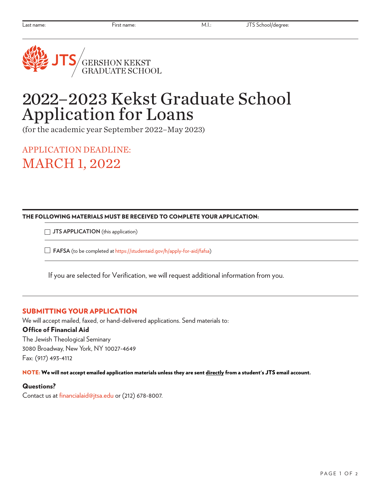

# 2022–2023 Kekst Graduate School Application for Loans

(for the academic year September 2022–May 2023)

APPLICATION DEADLINE: MARCH 1, 2022

#### THE FOLLOWING MATERIALS MUST BE RECEIVED TO COMPLETE YOUR APPLICATION:

**JTS APPLICATION** (this application)

**FAFSA** (to be completed at <https://studentaid.gov/h/apply-for-aid/fafsa>)

If you are selected for Verification, we will request additional information from you.

## SUBMITTING YOUR APPLICATION

We will accept mailed, faxed, or hand-delivered applications. Send materials to: Office of Financial Aid The Jewish Theological Seminary

3080 Broadway, New York, NY 10027-4649 Fax: (917) 493-4112

NOTE: We will not accept emailed application materials unless they are sent directly from a student's JTS email account.

## Questions?

Contact us at financialaid@jtsa.edu or (212) 678-8007.